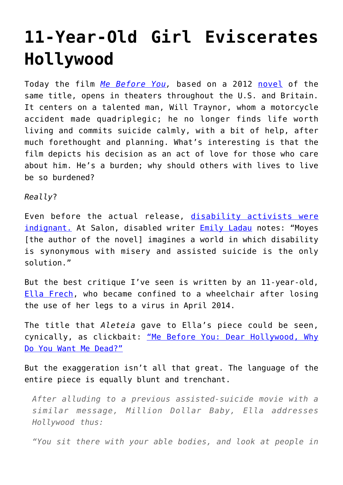## **[11-Year-Old Girl Eviscerates](https://intellectualtakeout.org/2016/06/11-year-old-girl-eviscerates-hollywood/) [Hollywood](https://intellectualtakeout.org/2016/06/11-year-old-girl-eviscerates-hollywood/)**

Today the film *[Me Before You](http://www.imdb.com/title/tt2674426/),* based on a 2012 [novel](https://en.wikipedia.org/wiki/Me_Before_You) of the same title, opens in theaters throughout the U.S. and Britain. It centers on a talented man, Will Traynor, whom a motorcycle accident made quadriplegic; he no longer finds life worth living and commits suicide calmly, with a bit of help, after much forethought and planning. What's interesting is that the film depicts his decision as an act of love for those who care about him. He's a burden; why should others with lives to live be so burdened?

*Really*?

Even before the actual release, [disability activists were](http://www.care2.com/causes/disability-activists-furious-about-me-before-you.html) [indignant.](http://www.care2.com/causes/disability-activists-furious-about-me-before-you.html) At Salon, disabled writer **Emily Ladau** notes: "Moyes [the author of the novel] imagines a world in which disability is synonymous with misery and assisted suicide is the only solution."

But the best critique I've seen is written by an 11-year-old, [Ella Frech](https://www.facebook.com/EllaRFrech/), who became confined to a wheelchair after losing the use of her legs to a virus in April 2014.

The title that *Aleteia* gave to Ella's piece could be seen, cynically, as clickbait: ["Me Before You: Dear Hollywood, Why](http://aleteia.org/2016/06/02/me-before-you-dear-hollywood-why-do-you-want-me-dead) [Do You Want Me Dead?"](http://aleteia.org/2016/06/02/me-before-you-dear-hollywood-why-do-you-want-me-dead)

But the exaggeration isn't all that great. The language of the entire piece is equally blunt and trenchant.

*After alluding to a previous assisted-suicide movie with a similar message, Million Dollar Baby, Ella addresses Hollywood thus:*

*"You sit there with your able bodies, and look at people in*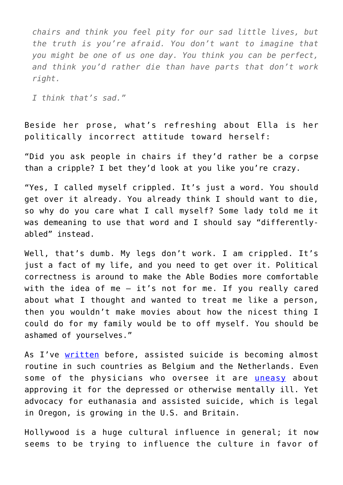*chairs and think you feel pity for our sad little lives, but the truth is you're afraid. You don't want to imagine that you might be one of us one day. You think you can be perfect, and think you'd rather die than have parts that don't work right.*

*I think that's sad."*

Beside her prose, what's refreshing about Ella is her politically incorrect attitude toward herself:

"Did you ask people in chairs if they'd rather be a corpse than a cripple? I bet they'd look at you like you're crazy.

"Yes, I called myself crippled. It's just a word. You should get over it already. You already think I should want to die, so why do you care what I call myself? Some lady told me it was demeaning to use that word and I should say "differentlyabled" instead.

Well, that's dumb. My legs don't work. I am crippled. It's just a fact of my life, and you need to get over it. Political correctness is around to make the Able Bodies more comfortable with the idea of me — it's not for me. If you really cared about what I thought and wanted to treat me like a person, then you wouldn't make movies about how the nicest thing I could do for my family would be to off myself. You should be ashamed of yourselves."

As I've [written](https://www.intellectualtakeout.org/blog/how-should-we-interpret-rise-euthanasia) before, assisted suicide is becoming almost routine in such countries as Belgium and the Netherlands. Even some of the physicians who oversee it are *[uneasy](https://www.intellectualtakeout.org/blog/euthanasia-depression-bad-idea)* about approving it for the depressed or otherwise mentally ill. Yet advocacy for euthanasia and assisted suicide, which is legal in Oregon, is growing in the U.S. and Britain.

Hollywood is a huge cultural influence in general; it now seems to be trying to influence the culture in favor of